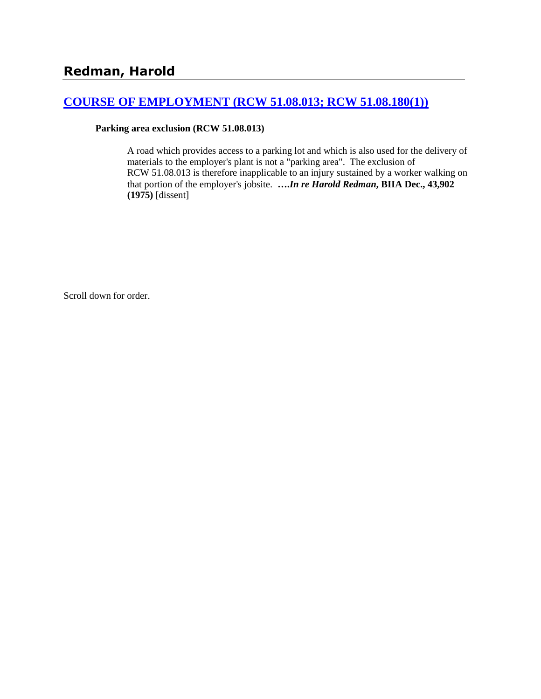## **[COURSE OF EMPLOYMENT \(RCW 51.08.013; RCW 51.08.180\(1\)\)](http://www.biia.wa.gov/SDSubjectIndex.html#COURSE_OF_EMPLOYMENT)**

#### **Parking area exclusion (RCW 51.08.013)**

A road which provides access to a parking lot and which is also used for the delivery of materials to the employer's plant is not a "parking area". The exclusion of RCW 51.08.013 is therefore inapplicable to an injury sustained by a worker walking on that portion of the employer's jobsite. **….***In re Harold Redman***, BIIA Dec., 43,902 (1975)** [dissent]

Scroll down for order.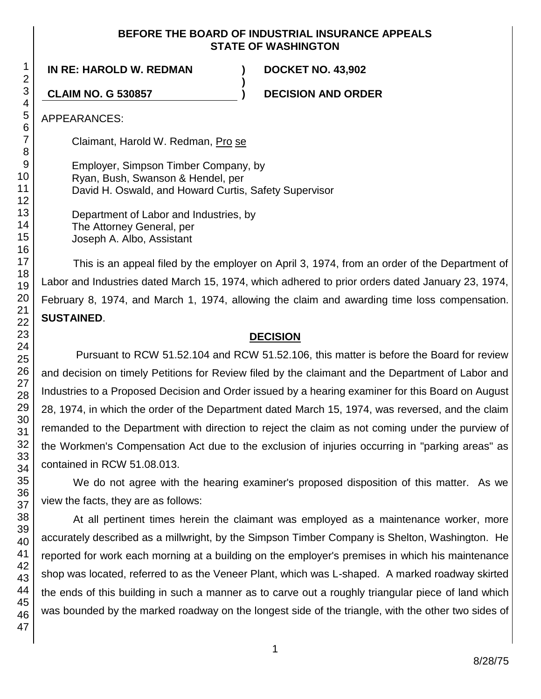### **BEFORE THE BOARD OF INDUSTRIAL INSURANCE APPEALS STATE OF WASHINGTON**

**)**

**IN RE: HAROLD W. REDMAN ) DOCKET NO. 43,902**

**CLAIM NO. G 530857 ) DECISION AND ORDER**

APPEARANCES:

Claimant, Harold W. Redman, Pro se

Employer, Simpson Timber Company, by Ryan, Bush, Swanson & Hendel, per David H. Oswald, and Howard Curtis, Safety Supervisor

Department of Labor and Industries, by The Attorney General, per Joseph A. Albo, Assistant

This is an appeal filed by the employer on April 3, 1974, from an order of the Department of Labor and Industries dated March 15, 1974, which adhered to prior orders dated January 23, 1974, February 8, 1974, and March 1, 1974, allowing the claim and awarding time loss compensation. **SUSTAINED**.

# **DECISION**

Pursuant to RCW 51.52.104 and RCW 51.52.106, this matter is before the Board for review and decision on timely Petitions for Review filed by the claimant and the Department of Labor and Industries to a Proposed Decision and Order issued by a hearing examiner for this Board on August 28, 1974, in which the order of the Department dated March 15, 1974, was reversed, and the claim remanded to the Department with direction to reject the claim as not coming under the purview of the Workmen's Compensation Act due to the exclusion of injuries occurring in "parking areas" as contained in RCW 51.08.013.

We do not agree with the hearing examiner's proposed disposition of this matter. As we view the facts, they are as follows:

At all pertinent times herein the claimant was employed as a maintenance worker, more accurately described as a millwright, by the Simpson Timber Company is Shelton, Washington. He reported for work each morning at a building on the employer's premises in which his maintenance shop was located, referred to as the Veneer Plant, which was L-shaped. A marked roadway skirted the ends of this building in such a manner as to carve out a roughly triangular piece of land which was bounded by the marked roadway on the longest side of the triangle, with the other two sides of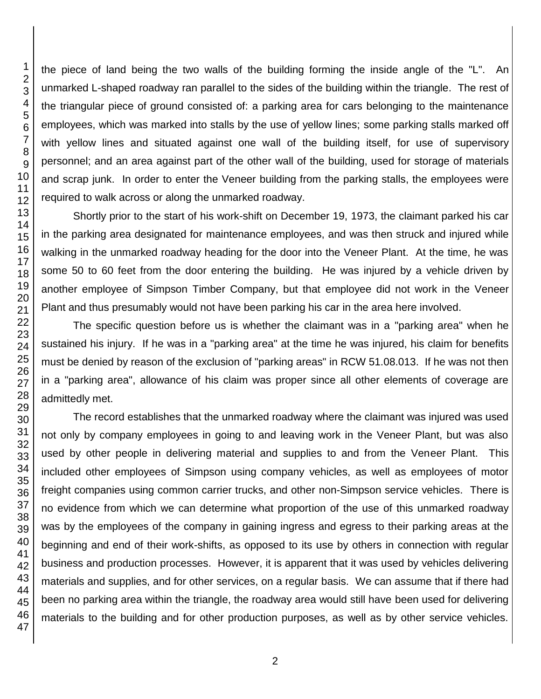the piece of land being the two walls of the building forming the inside angle of the "L". An unmarked L-shaped roadway ran parallel to the sides of the building within the triangle. The rest of the triangular piece of ground consisted of: a parking area for cars belonging to the maintenance employees, which was marked into stalls by the use of yellow lines; some parking stalls marked off with yellow lines and situated against one wall of the building itself, for use of supervisory personnel; and an area against part of the other wall of the building, used for storage of materials and scrap junk. In order to enter the Veneer building from the parking stalls, the employees were required to walk across or along the unmarked roadway.

Shortly prior to the start of his work-shift on December 19, 1973, the claimant parked his car in the parking area designated for maintenance employees, and was then struck and injured while walking in the unmarked roadway heading for the door into the Veneer Plant. At the time, he was some 50 to 60 feet from the door entering the building. He was injured by a vehicle driven by another employee of Simpson Timber Company, but that employee did not work in the Veneer Plant and thus presumably would not have been parking his car in the area here involved.

The specific question before us is whether the claimant was in a "parking area" when he sustained his injury. If he was in a "parking area" at the time he was injured, his claim for benefits must be denied by reason of the exclusion of "parking areas" in RCW 51.08.013. If he was not then in a "parking area", allowance of his claim was proper since all other elements of coverage are admittedly met.

The record establishes that the unmarked roadway where the claimant was injured was used not only by company employees in going to and leaving work in the Veneer Plant, but was also used by other people in delivering material and supplies to and from the Veneer Plant. This included other employees of Simpson using company vehicles, as well as employees of motor freight companies using common carrier trucks, and other non-Simpson service vehicles. There is no evidence from which we can determine what proportion of the use of this unmarked roadway was by the employees of the company in gaining ingress and egress to their parking areas at the beginning and end of their work-shifts, as opposed to its use by others in connection with regular business and production processes. However, it is apparent that it was used by vehicles delivering materials and supplies, and for other services, on a regular basis. We can assume that if there had been no parking area within the triangle, the roadway area would still have been used for delivering materials to the building and for other production purposes, as well as by other service vehicles.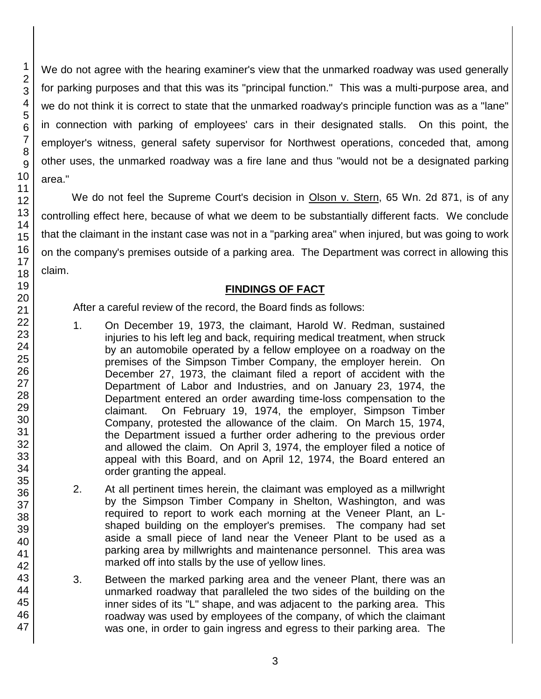We do not agree with the hearing examiner's view that the unmarked roadway was used generally for parking purposes and that this was its "principal function." This was a multi-purpose area, and we do not think it is correct to state that the unmarked roadway's principle function was as a "lane" in connection with parking of employees' cars in their designated stalls. On this point, the employer's witness, general safety supervisor for Northwest operations, conceded that, among other uses, the unmarked roadway was a fire lane and thus "would not be a designated parking area."

We do not feel the Supreme Court's decision in Olson v. Stern, 65 Wn. 2d 871, is of any controlling effect here, because of what we deem to be substantially different facts. We conclude that the claimant in the instant case was not in a "parking area" when injured, but was going to work on the company's premises outside of a parking area. The Department was correct in allowing this claim.

## **FINDINGS OF FACT**

After a careful review of the record, the Board finds as follows:

- 1. On December 19, 1973, the claimant, Harold W. Redman, sustained injuries to his left leg and back, requiring medical treatment, when struck by an automobile operated by a fellow employee on a roadway on the premises of the Simpson Timber Company, the employer herein. On December 27, 1973, the claimant filed a report of accident with the Department of Labor and Industries, and on January 23, 1974, the Department entered an order awarding time-loss compensation to the claimant. On February 19, 1974, the employer, Simpson Timber Company, protested the allowance of the claim. On March 15, 1974, the Department issued a further order adhering to the previous order and allowed the claim. On April 3, 1974, the employer filed a notice of appeal with this Board, and on April 12, 1974, the Board entered an order granting the appeal.
- 2. At all pertinent times herein, the claimant was employed as a millwright by the Simpson Timber Company in Shelton, Washington, and was required to report to work each morning at the Veneer Plant, an Lshaped building on the employer's premises. The company had set aside a small piece of land near the Veneer Plant to be used as a parking area by millwrights and maintenance personnel. This area was marked off into stalls by the use of yellow lines.
- 3. Between the marked parking area and the veneer Plant, there was an unmarked roadway that paralleled the two sides of the building on the inner sides of its "L" shape, and was adjacent to the parking area. This roadway was used by employees of the company, of which the claimant was one, in order to gain ingress and egress to their parking area. The

1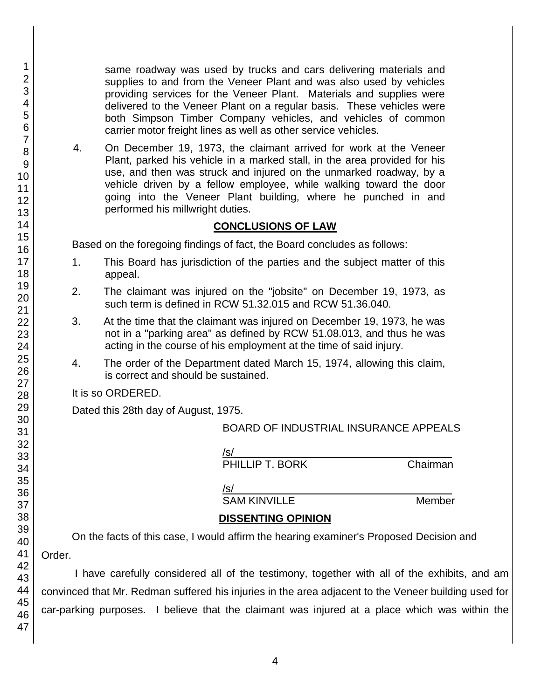same roadway was used by trucks and cars delivering materials and supplies to and from the Veneer Plant and was also used by vehicles providing services for the Veneer Plant. Materials and supplies were delivered to the Veneer Plant on a regular basis. These vehicles were both Simpson Timber Company vehicles, and vehicles of common carrier motor freight lines as well as other service vehicles.

4. On December 19, 1973, the claimant arrived for work at the Veneer Plant, parked his vehicle in a marked stall, in the area provided for his use, and then was struck and injured on the unmarked roadway, by a vehicle driven by a fellow employee, while walking toward the door going into the Veneer Plant building, where he punched in and performed his millwright duties.

## **CONCLUSIONS OF LAW**

Based on the foregoing findings of fact, the Board concludes as follows:

- 1. This Board has jurisdiction of the parties and the subject matter of this appeal.
- 2. The claimant was injured on the "jobsite" on December 19, 1973, as such term is defined in RCW 51.32.015 and RCW 51.36.040.
- 3. At the time that the claimant was injured on December 19, 1973, he was not in a "parking area" as defined by RCW 51.08.013, and thus he was acting in the course of his employment at the time of said injury.
- 4. The order of the Department dated March 15, 1974, allowing this claim, is correct and should be sustained.

It is so ORDERED.

Dated this 28th day of August, 1975.

## BOARD OF INDUSTRIAL INSURANCE APPEALS

/s/\_\_\_\_\_\_\_\_\_\_\_\_\_\_\_\_\_\_\_\_\_\_\_\_\_\_\_\_\_\_\_\_\_\_\_\_\_ PHILLIP T. BORK Chairman

/s/  $\,$ 

SAM KINVILLE Member

## **DISSENTING OPINION**

On the facts of this case, I would affirm the hearing examiner's Proposed Decision and Order.

I have carefully considered all of the testimony, together with all of the exhibits, and am convinced that Mr. Redman suffered his injuries in the area adjacent to the Veneer building used for car-parking purposes. I believe that the claimant was injured at a place which was within the